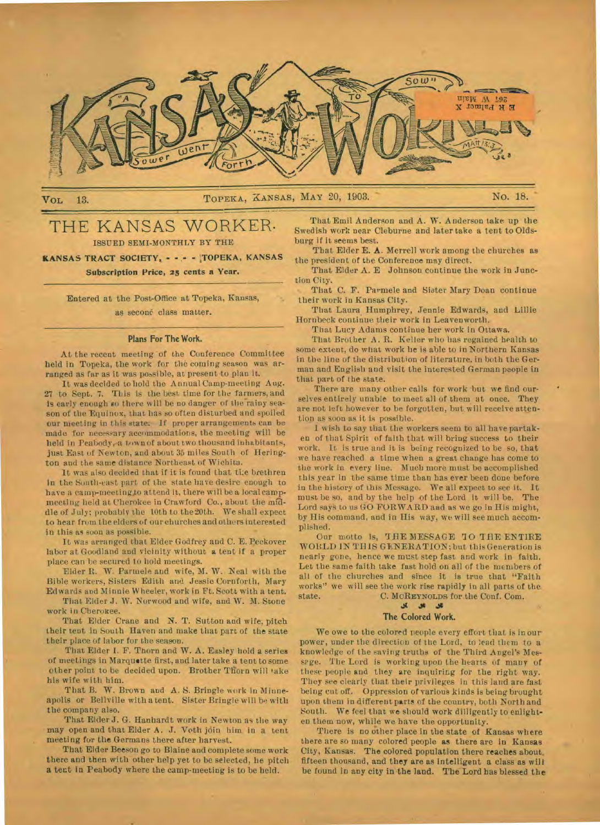

# VoL 13. TOPEKA, XANSAS, MAY 20, 1903. " No. 18.

# THE KANSAS WORKER. ISSUED SEMI-MONTHLY BY THE

**KANSAS TRACT SOCIETY, - - .- - ,TOPEKA, KANSAS Subscription Price, 25 cents a Year.** 

Entered at the Post-Office at Topeka, Kansas, as seconé class matter.

#### **Plans For The Work.**

At the recent meeting 'of the Conference Committee held in Topeka, the work for the coming season was arranged as far as it was possible, at present to plan it.

It was decided to hold the Annual Camp-meeting Aug. 27 to Sept. 7. This is the best time for the farmers, and is early enough so there will be no danger of the rainy season of the Equinox, that has so often disturbed and spoiled our meeting in this state; If proper arrangements can be made for necessary accommodations, the meeting will be held in Peabody,-a town of about two thousand inhabitants, just East of Newton, and about 35 miles South of Hering**ton** and the same distance Northeast of Wichita.

It was also decided that if it is found that the brethren **in** the South-east part of the state have desire enough to have a camp-meeting,to attend it, there will be a local campmeeting held at Cherokee in Crawford Co., about the middle of July; probably the 10th to the 20th. We shall expect to hear from the elders of our churches and others interested in this as soon as possible.

It was arranged that Elder Godfrey and C. E. Peckover labor at Goodland and vicinity without a tent if a proper place can be secured to hold meetings.

Elder R. W. Parmele and wife, M. W. Neal with the Bible workers, Sisters Edith and Jessie Cornforth, Mary Edwards and Minnie W heeler, work in Ft. Scott with a tent.

That Elder J. W. Norwood and wife, and W. M. Stone work in Cherokee.

That Elder Crane and N. T. Sutton and wife, pitch their tent in South Haven and make that part of the state their place of labor for the season.

That Elder 1. F. Thorn and W. A. Easley hold a series of meetings in Marquette first, and.later take a tent to some other point to be decided upon. Brother Thorn will take his wife with him.

That B. W. Brown and A. S. Bringle work in Minneapolis or Bellville with a tent. Sister Bringle will be with the company also.

That Elder J. G. Hanhardt work in Newton as the way may open and that Elder A. J. Voth jdin him in a tent meeting for the Germans there after harvest.

That Elder Beeson go to Blaine and complete some work there and then with other help yet to be selected, be pitch **a** tent in Peabody where the camp-meeting is to be held.

That Emil Anderson and A. W. Anderson take up the Swedish work near Cleburne and later take a tent to Oldsburg if it seems best.

That Elder E. **A.** Merrell work among the churches as the president of the Conference may direct.

That Elder A. E Johnson continue the work in Junction City.

That C. F. Parmele and Sister Mary Doan continue their work in Kansas City.

That Laura, Humphrey, Jennie Edwards, and Lillie Hornbeck continue their work in Leavenworth.

That Lucy Adams continue her work in Ottawa.

That Brother A. R. Keller who has regained health to some extent, do what work he is able to in Northern Kansas **in** the line of the distribution of literature, in both the German and English and visit the interested German people in that part of the state.

There are many other calls for work but we find ourselves entirely unable to meet all of them at once. They are not left however to be forgotten, but will receive attention as soon as it is possible.

I wish to say that the workers seem to all have partaken of that Spirit of faith that will bring success to their work. It is true and it is being recognized to be so, that we have reached a time when a great change has come to the work in every line. Much more must be accomplished this year In the same time than has ever been done before in the history of this Message. We all expect to see it. It must be so, and by the help of the Lord it will be. The Lord says to us GO FORWARD aad as we go in His might, by His command, and in His way, we will see much accomplished.

Our motto is, THE MESSAGE TO THE ENTIRE WORLD IN THIS GENERATION; but this Generation is nearly gone, hence we must step fast and work in faith. Let the same faith take fast hold on all of the members of all of the churches and since it is true that "Faith works" we will see the work rise rapidly in all parts of the. state. C. McREYNOLDS for the Conf. Com.

#### **41 The Colored Work.**

We owe to the colored people every effort that is in our power, under the direction of the Lord, to lead them to a knowledge of the saving truths of the Third Angel's Messrge. The Lord is working upon the hearts of many of these people and they are inquiring for the right way. They *see* clearly that their privileges in this land are fast being cut off. Oppression of various kinds is being brought upon them in different parts of the country, both North and South. We feel that we should work dilligently to enlighten them now, while we have the opportunity.

There is no other place in the state of Kansas where there are so many colored people **as** there are in Kansas City, Kansas. **The** colored population there reaches about, fifteen thousand, **and they are** as Intelligent a class as wilt be found in any city **in the land. The** Lord has blessed **the**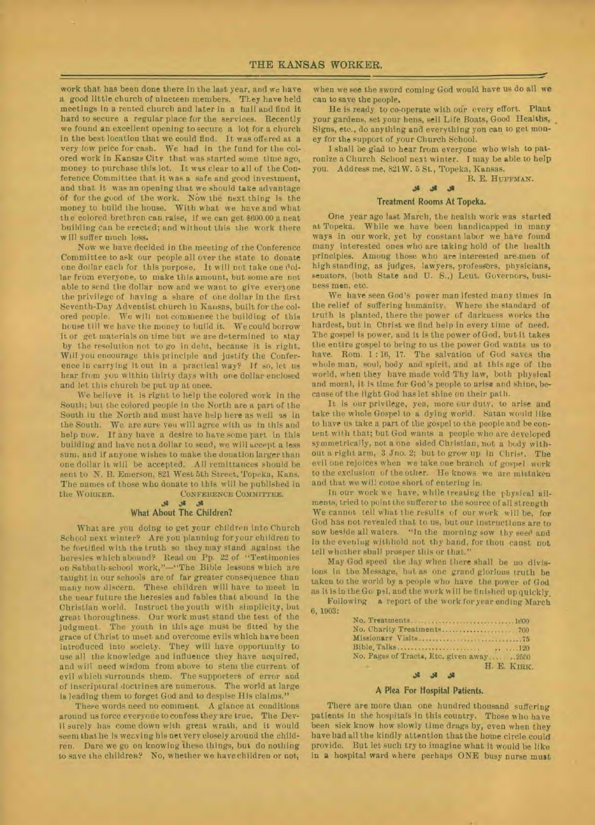work that has been done there in the last year, and we have a good little church of nineteen members. TI.ey have held meetings in a rented church and later in a hall and find it hard to secure a regular place for the services. Recently we found an excellent opening to secure a lot for a church in the best location that we could find. It was offered at a very low price for cash. We had in the fund for the colored work in Kansas City that was started some time ago, money to purchase this lot. It was clear to all of the Conference Committee that it was a safe and good investment, and that it was an opening that we should take advantage of for the good of the work. Now the next thing is the money to build the house. With what we have and what the colored brethren can raise, if we can get 8600.00 a neat building can be erected; and without this the work there will suffer much loss.

Now we have decided in the meeting of the Conference Committee to ask our people all over the state to donate one dollar each for this purpose. It will not take one dollar from everyone, to make this amount, but some are not able to send the dollar now and we want to give everyone the privilege of having a share of one dollar in the first Seventh-Day Adventist church in Reuses, built for the colored people. We will not commence the building of this house till we have the money to build it. We could borrow it or get materials on time but we are determined to stay by the resolution not to go in debt, because it is right. Will you encourage this principle and justify the Conference in carrying it out in a practical way? If so, let us hear from you within thirty days with one dollar enclosed and let **this** church be put up at once.

We believe it is right to help the colored work in the South; but the colored people in the North are a part of the South in the North and must have help here as well as in the South. We are sure you will agree with us in this and help now. If any have a desire to have some part in this building and have not a dollar to send, we will accept a less sum, and if anyone wishes to make the donation larger than one dollar it will be accepted. All remittances should be sent to N. B. Emerson, 821 West 5th Street, Topeka, Kans. The names of those who donate to this will be published in the WORKER. CONFERENCE COMMITTEE.

#### **J1 as as What About The Children?**

What are you doing to get your children into Church School next winter? Are you planning for your children to be fortified with the truth so they may stand against the heresies which abound? Read on Pp. 22 of "Testimonies on Sabbath-school work,"—"The Bible lessons which are taught in our schools are of far greater consequence than many now discern. These children will have to meet in the near future the heresies and fables that abound in the Christian world. Instruct the youth with simplicity, but great thoroughness. Our work must stand the test of the judgment. The youth in this age must be fitted by the grace of Christ to meet and overcome evils which have been introduced into society. They will have opportunity to use all the knowledge and influence they have acquired, and will need wisdom from above to stem the current of evil which surrounds them. The supporters of error and of inscriptural doctrines are numerous. The world at large is leading them to forget God and to despise His claims."

These words need no comment. A glance at conditions around us force everyone to confess they are true. The Devil surely has come down with great wrath, and it would seem that he is weaving his net very closely around the children. Dare we go on knowing these things, but do nothing to save the children? No, whether we have children or not, when we see the sword coming God would have us do all we can to save the people.

He is ready **to** co-operate with our every effort. Plant your gardens, set your hens, sell Life Boats, Good Healths, Signs, etc., do anything and everything yon can to get money for the support of your Church School.

I shall be glad to hear from everyone who wish to patronize a Church School next winter. I may be able to help you. Address me, 821W. 5 St., Topeka, Kansas.

#### B. E. HUFFMAN.

vie

## **.14** JI Js

#### Treatment Rooms At Topeka.

One year ago last March, the health work was started at Topeka. While we have been handicapped in many ways in our work, yet by constant labor we have found many interested ones who are taking hold of the health principles. Among those who are interested are-men of high standing, as judges, lawyers, professors, physicians, senators, (both State and U. S.,) Leut. Governors, business men. etc.

We have seen God's power man Ifested many times in the relief of suffering humanity. Where the standard of truth is planted, there the power of darkness works the hardest, but in Christ we find help in every time of need. The gospel is power, and it is the power of God, but it takes the entire gospel to bring to us the power God wants us to have. Rom. 1 : 16, 17. The salvation of God saves the whole man, soul, body and spirit, and at this age of the world, when they have made void Thy law, both physical and moral, it is time for God's people to arise and shine, because of the light God has let shine on their path.

It is our privilege, yea, more our duty, to arise and take the whole Gospel to a dying world. Satan would like to have us take a part of the gospel to the people and he content with that; but God wants a people who are developed symmetrically, not a one sided Christian, not a body without a right arm, 3 Jno. 2; but to grow up in Christ. The evil one rejoices when we take one branch of gospel work to the exclusion of the other. He knows we are mistaken and that we will come short of entering in.

In our work we have, while treating the physical ailments, tried to point the sufferer to the source of all strength We cannot tell what the results of our work will be, for God has not revealed that to us, but our instructions are to sow beside all waters. "In the morning sow thy seed and in the eveniug withhold not thy hand, for thou canst not tell whether shall prosper this or that."

May God speed the day when there shall be no divisions in the Message, but as one grand glorious truth be taken to the world by a people who have the power of God as it is in the Go: psi, and the work will be finished up quickly.

Following a report of the work foryear ending March 6, 1903:

| No. Treatments 1600                       |
|-------------------------------------------|
|                                           |
|                                           |
|                                           |
| No. Pages of Tracts, Ltc. given away 2550 |
| H. E. KIRK.                               |
| $3 - 3 - 3$                               |

#### **A Plea For Hospital Patients.**

There are more than one hundred thousand suffering patients in the hospitals in this country. Those who have been sick know how slowly time drags by, even when they have had all the kindly attention that the home circle could provide. But let such try to imagine what it would be like in **a** hospital ward where perhaps ONE busy nurse must,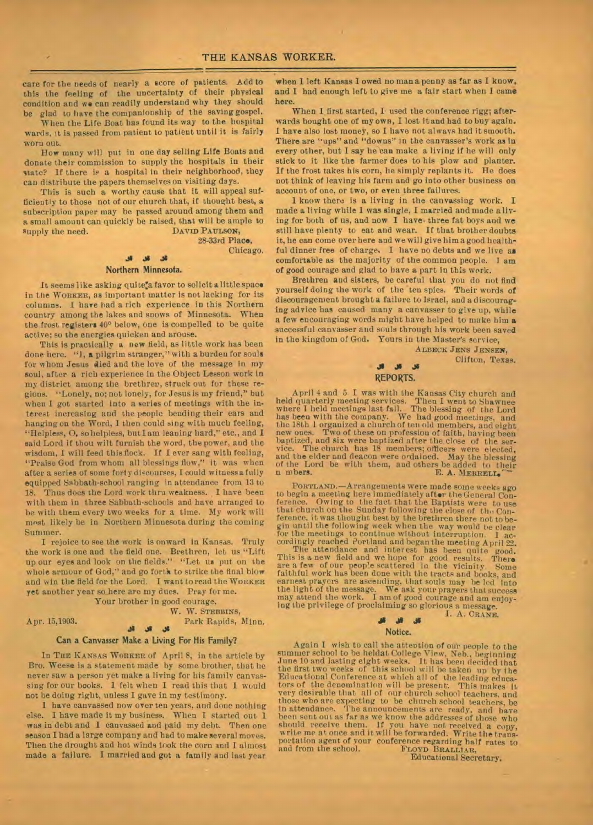care for the needs of nearly a score of patients. Add to this the feeling of the uncertainty of their physical condition and we can readily understand why they should glad to have the companionship of the saving gospel.

When the Life Boat has found its way to the hospital wards, it is passed from patient to patient until it is fairly worn out.

How many will put in one day selling Life Boats and donate their commission to supply the hospitals in their state? If there **is** a hospital in their neighborhood, they can distribute the papers themselves on visiting days.

This is such a worthy cause that it will appeal sufficiently to those not of our church that, if thought best, a subscription paper may be passed around among them and a small amount can quickly be raised, that will be ample to supply the need.

28-33rd Place,

Chicago.

#### Northern Minnesota.

sel

It seems like asking quite"a favor to solicit a little space in the **WORKER,** as important matter is not lacking for its columns. 1 have had a rich experience in this Northern country among the lakes and snows of Minnesota. When the frost registers 40° below, one is compelled to be quite active; so the energies quicken and arouse.

This is practically a new field, as little work has been done here. "1, a pilgrim stranger," with a burden for souls for whom Jesus died and the love of the message in my soul, after a rich experience in the Object Lesson work in my district among the brethrer, struck out for these regions. "Lonely, no; not lonely, for Jesus is my friend," but when I got started into a series of meetings with the interest increasing and the people bending their ears and hanging on the Word, I then could sing with much feeling, "Helpless, 0, sohelpless, butI am leaning hard," etc., and I said Lord if thou wilt furnish the word, the power, and the wisdom, I will feed this flock. If I ever sang with feeling, "Praise God from whom all blessings flow," it was when after a series of some forty discourses, I could witness a fully equipped Sabbath-school ranging in attendance from 13 to 18. Thus does the Lord work thru weakness. I have been with them in three Sabbath-schools and have arranged to be with them every two weeks for a time. My work will most likely be in Northern Minnesota during the coming Summer.

I rejoice to see the work is onward in Kansas. Truly the work is one and the field one. Brethren, let us "Lift up our eyes and look on the fields." "Let us put on the whole armour of God," and go forth to strike the final blow and win the field for the Lord. I want to read the WORKER yet another year so\_here are my dues. Pray for me.

Your brother in good courage.

#### W. W. STEBBINS, Apr. 15,1903. Park Rapids, Minn.

### .811.ssJs **Can a Canvasser Make a Living For His Family?**

In THE KANSAS WORKER of April 8, in the article by Bro. Weese is a statement made by some brother, that he never saw a person yet make a living for his family canvassing for our books. 1 felt when I read this that I would not be doing right, unless I gave in my testimony.

1 have canvassed now over ten years, and done nothing else. I have made it my business. When I started out 1 was in debt and I canvassed and paid my debt. Then one season I had a large company and had to make several moves. Then the drought and hot winds took the corn and I almost made a failure. I married and got a family and last year

when 1 left Kansas I owed no man a penny as fax as I know, and I had enough left to *give me a* fair start when I came here.

When I first started, I used the conference rigg; afterwards bought one of my **own,** I lost it and had to buy again. I have also lost money, so I have not always had it smooth. There are "ups" and "downs" in the canvasser's work as in every other, but I say he can make a living if he will only stick to it like the farmer does to his plow and planter. If the frost takes his corn, he simply replants it. He does not think of leaving his farm and go into other business on account of one, or two, or even three failures.

1 know there is a living in the canvassing work. I made a living while 1 was single, I married and made allying for both of us, and now I have, three fat boys and we still have plenty to eat and wear. If that brother doubts it, he can come over here and we will give him a good healthful dinner free of charge. I have no debts and we live as comfortable as the majority of the common people. I *am*  of good courage and glad to have a part in this work.

Brethren and sisters, be careful that you do not find yourself doing the work of the ten spies. Their words of discouragement brought **a** failure to Israel, and a d iscouraging advice has caused many a canvasser to *give* up, while a few encouraging words might have helped to make him **a**  successful canvasser and souls through his work been saved in the kingdom of God. Yours in the Master's service,

**ALBECR JENS JENSEN',** 

**Clifton,** Texas.

#### **REPORTS.**

April 4 and 5 I was with the Kansas City church and held quarterly meeting services. Then I went to Shawnee where I held meetings last fall. The blessing of the Lord has been with the company. We had good meetings, and<br>the 18th 1 organized a church of ten old members, and eight<br>new ones. Two of these on profession of faith, having been<br>baptized, and six were baptized after the close of and the elder and deacon were ordained. May the blessing of the Lord be with them, and others be added to their n mbers. E. A. MERRELT

**PORTLAND.—Arrangements** were made some weeks ago to begin a meeting here immediately after the General Conference. Owing to the fact that the Baptists were to use<br>that church on the Sunday following the close of the Conference, it was thought best by the brethren there n for the meetings to continue without interruption. cordingly reached Portland and began the meeting **A**pril 22. The attendance and interest has been quite pool.<br>This is a new field and we hope for good results. There<br>are a few of our people scattered in the vicinity. Some<br>faithful work has been done with the tracts and books, and<br>ea the light of the message. We ask your prayers that success may attend the work. I am of good courage and am enjoying the privilege of proclaiming so glorious a message.

I. A. **CRANE.** 

#### **JI**  Notice.

Again I wish to call the attention of our people to the summer school to be heldat College *View, Neb.,* beginning June 10 and lasting eight weeks. It has been decided that the first two weeks of this school will be taken up by the Educational Conference at which all of the leading educators of the denomination will be presents. This makes it very desirable that all of our church school teachers, and those who are expecting to be church school teachers, be<br>in attendance. The announcements are ready, and have<br>been sent out as far as we know the addresses of those who<br>should receive them. If you have not received a copy, portation agent of your conference regarding halt rates to and from the school. **PLOYD BRALLIAR,** 

Educational Secretary.